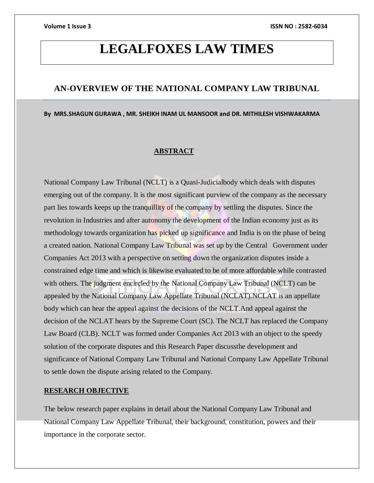# **LEGALFOXES LAW TIMES**

# **AN-OVERVIEW OF THE NATIONAL COMPANY LAW TRIBUNAL**

**By MRS.SHAGUN GURAWA , MR. SHEIKH INAM UL MANSOOR and DR. MITHILESH VISHWAKARMA**

# **ABSTRACT**

National Company Law Tribunal (NCLT) is a Quasi-Judicialbody which deals with disputes emerging out of the company. It is the most significant purview of the company as the necessary part lies towards keeps up the tranquillity of the company by settling the disputes. Since the revolution in Industries and after autonomy the development of the Indian economy just as its methodology towards organization has picked up significance and India is on the phase of being a created nation. National Company Law Tribunal was set up by the Central Government under Companies Act 2013 with a perspective on setting down the organization disputes inside a constrained edge time and which is likewise evaluated to be of more affordable while contrasted with others. The judgment encircled by the National Company Law Tribunal (NCLT) can be appealed by the National Company Law Appellate Tribunal (NCLAT).NCLAT is an appellate body which can hear the appeal against the decisions of the NCLT.And appeal against the decision of the NCLAT hears by the Supreme Court (SC). The NCLT has replaced the Company Law Board (CLB). NCLT was formed under Companies Act 2013 with an object to the speedy solution of the corporate disputes and this Research Paper discussthe development and significance of National Company Law Tribunal and National Company Law Appellate Tribunal to settle down the dispute arising related to the Company.

# **RESEARCH OBJECTIVE**

The below research paper explains in detail about the National Company Law Tribunal and National Company Law Appellate Tribunal, their background, constitution, powers and their importance in the corporate sector.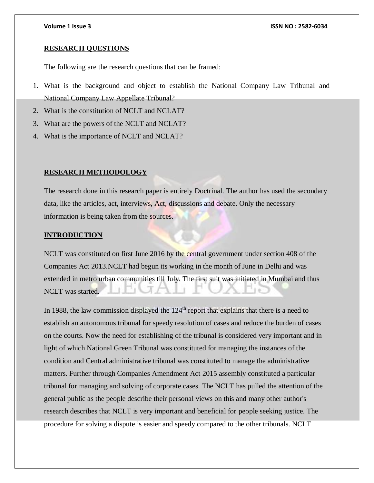### **RESEARCH QUESTIONS**

The following are the research questions that can be framed:

- 1. What is the background and object to establish the National Company Law Tribunal and National Company Law Appellate Tribunal?
- 2. What is the constitution of NCLT and NCLAT?
- 3. What are the powers of the NCLT and NCLAT?
- 4. What is the importance of NCLT and NCLAT?

### **RESEARCH METHODOLOGY**

The research done in this research paper is entirely Doctrinal. The author has used the secondary data, like the articles, act, interviews, Act, discussions and debate. Only the necessary information is being taken from the sources.

# **INTRODUCTION**

NCLT was constituted on first June 2016 by the central government under section 408 of the Companies Act 2013.NCLT had begun its working in the month of June in Delhi and was extended in metro urban communities till July. The first suit was initiated in Mumbai and thus NCLT was started.

In 1988, the law commission displayed the  $124<sup>th</sup>$  report that explains that there is a need to establish an autonomous tribunal for speedy resolution of cases and reduce the burden of cases on the courts. Now the need for establishing of the tribunal is considered very important and in light of which National Green Tribunal was constituted for managing the instances of the condition and Central administrative tribunal was constituted to manage the administrative matters. Further through Companies Amendment Act 2015 assembly constituted a particular tribunal for managing and solving of corporate cases. The NCLT has pulled the attention of the general public as the people describe their personal views on this and many other author's research describes that NCLT is very important and beneficial for people seeking justice. The procedure for solving a dispute is easier and speedy compared to the other tribunals. NCLT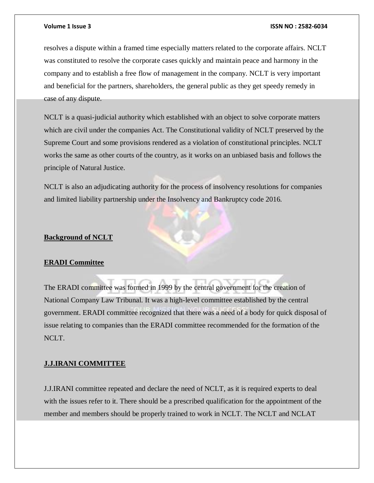resolves a dispute within a framed time especially matters related to the corporate affairs. NCLT was constituted to resolve the corporate cases quickly and maintain peace and harmony in the company and to establish a free flow of management in the company. NCLT is very important and beneficial for the partners, shareholders, the general public as they get speedy remedy in case of any dispute.

NCLT is a quasi-judicial authority which established with an object to solve corporate matters which are civil under the companies Act. The Constitutional validity of NCLT preserved by the Supreme Court and some provisions rendered as a violation of constitutional principles. NCLT works the same as other courts of the country, as it works on an unbiased basis and follows the principle of Natural Justice.

NCLT is also an adjudicating authority for the process of insolvency resolutions for companies and limited liability partnership under the Insolvency and Bankruptcy code 2016.

### **Background of NCLT**

### **ERADI Committee**

The ERADI committee was formed in 1999 by the central government for the creation of National Company Law Tribunal. It was a high-level committee established by the central government. ERADI committee recognized that there was a need of a body for quick disposal of issue relating to companies than the ERADI committee recommended for the formation of the NCLT.

### **J.J.IRANI COMMITTEE**

J.J.IRANI committee repeated and declare the need of NCLT, as it is required experts to deal with the issues refer to it. There should be a prescribed qualification for the appointment of the member and members should be properly trained to work in NCLT. The NCLT and NCLAT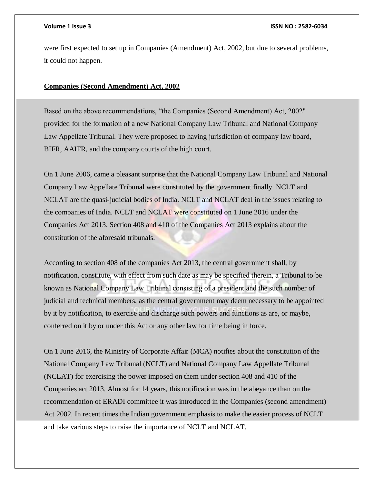were first expected to set up in Companies (Amendment) Act, 2002, but due to several problems, it could not happen.

# **Companies (Second Amendment) Act, 2002**

Based on the above recommendations, "the Companies (Second Amendment) Act, 2002" provided for the formation of a new National Company Law Tribunal and National Company Law Appellate Tribunal. They were proposed to having jurisdiction of company law board, BIFR, AAIFR, and the company courts of the high court.

On 1 June 2006, came a pleasant surprise that the National Company Law Tribunal and National Company Law Appellate Tribunal were constituted by the government finally. NCLT and NCLAT are the quasi-judicial bodies of India. NCLT and NCLAT deal in the issues relating to the companies of India. NCLT and NCLAT were constituted on 1 June 2016 under the Companies Act 2013. Section 408 and 410 of the Companies Act 2013 explains about the constitution of the aforesaid tribunals.

According to section 408 of the companies Act 2013, the central government shall, by notification, constitute, with effect from such date as may be specified therein, a Tribunal to be known as National Company Law Tribunal consisting of a president and the such number of judicial and technical members, as the central government may deem necessary to be appointed by it by notification, to exercise and discharge such powers and functions as are, or maybe, conferred on it by or under this Act or any other law for time being in force.

On 1 June 2016, the Ministry of Corporate Affair (MCA) notifies about the constitution of the National Company Law Tribunal (NCLT) and National Company Law Appellate Tribunal (NCLAT) for exercising the power imposed on them under section 408 and 410 of the Companies act 2013. Almost for 14 years, this notification was in the abeyance than on the recommendation of ERADI committee it was introduced in the Companies (second amendment) Act 2002. In recent times the Indian government emphasis to make the easier process of NCLT and take various steps to raise the importance of NCLT and NCLAT.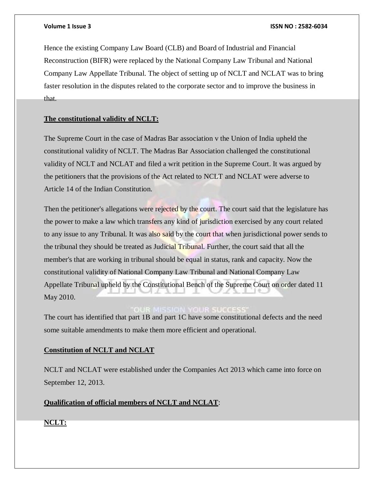Hence the existing Company Law Board (CLB) and Board of Industrial and Financial Reconstruction (BIFR) were replaced by the National Company Law Tribunal and National Company Law Appellate Tribunal. The object of setting up of NCLT and NCLAT was to bring faster resolution in the disputes related to the corporate sector and to improve the business in that.

# **The constitutional validity of NCLT:**

The Supreme Court in the case of Madras Bar association v the Union of India upheld the constitutional validity of NCLT. The Madras Bar Association challenged the constitutional validity of NCLT and NCLAT and filed a writ petition in the Supreme Court. It was argued by the petitioners that the provisions of the Act related to NCLT and NCLAT were adverse to Article 14 of the Indian Constitution.

Then the petitioner's allegations were rejected by the court. The court said that the legislature has the power to make a law which transfers any kind of jurisdiction exercised by any court related to any issue to any Tribunal. It was also said by the court that when jurisdictional power sends to the tribunal they should be treated as Judicial Tribunal. Further, the court said that all the member's that are working in tribunal should be equal in status, rank and capacity. Now the constitutional validity of National Company Law Tribunal and National Company Law Appellate Tribunal upheld by the Constitutional Bench of the Supreme Court on order dated 11 May 2010.

# **YOUR SUCCES**

The court has identified that part 1B and part 1C have some constitutional defects and the need some suitable amendments to make them more efficient and operational.

# **Constitution of NCLT and NCLAT**

NCLT and NCLAT were established under the Companies Act 2013 which came into force on September 12, 2013.

# **Qualification of official members of NCLT and NCLAT**:

**NCLT:**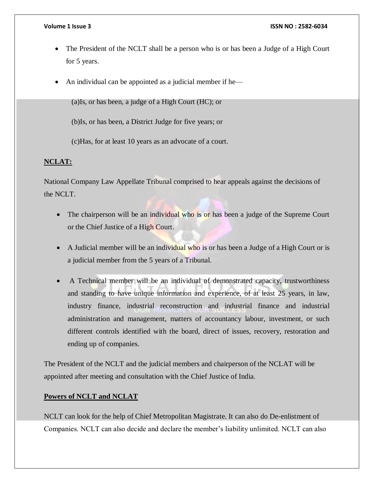- The President of the NCLT shall be a person who is or has been a Judge of a High Court for 5 years.
- An individual can be appointed as a judicial member if he—

(a)Is, or has been, a judge of a High Court (HC); or

(b)Is, or has been, a District Judge for five years; or

(c)Has, for at least 10 years as an advocate of a court.

# **NCLAT:**

National Company Law Appellate Tribunal comprised to hear appeals against the decisions of the NCLT.

- The chairperson will be an individual who is or has been a judge of the Supreme Court or the Chief Justice of a High Court.
- A Judicial member will be an individual who is or has been a Judge of a High Court or is a judicial member from the 5 years of a Tribunal.
- A Technical member will be an individual of demonstrated capacity, trustworthiness and standing to have unique information and experience, of at least 25 years, in law, industry finance, industrial reconstruction and industrial finance and industrial administration and management, matters of accountancy labour, investment, or such different controls identified with the board, direct of issues, recovery, restoration and ending up of companies.

The President of the NCLT and the judicial members and chairperson of the NCLAT will be appointed after meeting and consultation with the Chief Justice of India.

# **Powers of NCLT and NCLAT**

NCLT can look for the help of Chief Metropolitan Magistrate. It can also do De-enlistment of Companies. NCLT can also decide and declare the member's liability unlimited. NCLT can also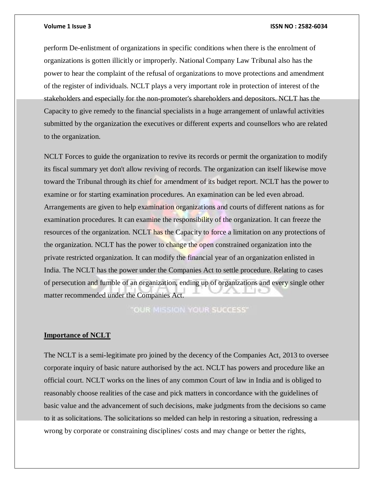perform De-enlistment of organizations in specific conditions when there is the enrolment of organizations is gotten illicitly or improperly. National Company Law Tribunal also has the power to hear the complaint of the refusal of organizations to move protections and amendment of the register of individuals. NCLT plays a very important role in protection of interest of the stakeholders and especially for the non-promoter's shareholders and depositors. NCLT has the Capacity to give remedy to the financial specialists in a huge arrangement of unlawful activities submitted by the organization the executives or different experts and counsellors who are related to the organization.

NCLT Forces to guide the organization to revive its records or permit the organization to modify its fiscal summary yet don't allow reviving of records. The organization can itself likewise move toward the Tribunal through its chief for amendment of its budget report. NCLT has the power to examine or for starting examination procedures. An examination can be led even abroad. Arrangements are given to help examination organizations and courts of different nations as for examination procedures. It can examine the responsibility of the organization. It can freeze the resources of the organization. NCLT has the Capacity to force a limitation on any protections of the organization. NCLT has the power to change the open constrained organization into the private restricted organization. It can modify the financial year of an organization enlisted in India. The NCLT has the power under the Companies Act to settle procedure. Relating to cases of persecution and fumble of an organization, ending up of organizations and every single other matter recommended under the Companies Act.

**OUR MISSION YOUR SUCCESS'** 

# **Importance of NCLT**

The NCLT is a semi-legitimate pro joined by the decency of the Companies Act, 2013 to oversee corporate inquiry of basic nature authorised by the act. NCLT has powers and procedure like an official court. NCLT works on the lines of any common Court of law in India and is obliged to reasonably choose realities of the case and pick matters in concordance with the guidelines of basic value and the advancement of such decisions, make judgments from the decisions so came to it as solicitations. The solicitations so melded can help in restoring a situation, redressing a wrong by corporate or constraining disciplines/ costs and may change or better the rights,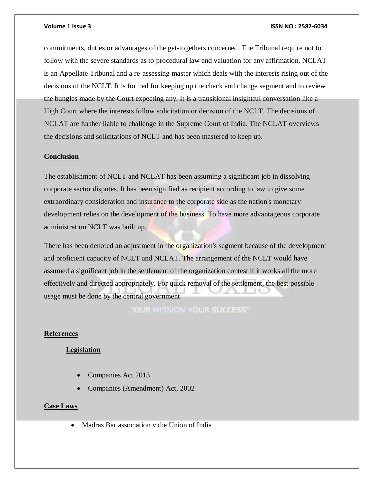commitments, duties or advantages of the get-togethers concerned. The Tribunal require not to follow with the severe standards as to procedural law and valuation for any affirmation. NCLAT is an Appellate Tribunal and a re-assessing master which deals with the interests rising out of the decisions of the NCLT. It is formed for keeping up the check and change segment and to review the bungles made by the Court expecting any. It is a transitional insightful conversation like a High Court where the interests follow solicitation or decision of the NCLT. The decisions of NCLAT are further liable to challenge in the Supreme Court of India. The NCLAT overviews the decisions and solicitations of NCLT and has been mastered to keep up.

#### **Conclusion**

The establishment of NCLT and NCLAT has been assuming a significant job in dissolving corporate sector disputes. It has been signified as recipient according to law to give some extraordinary consideration and insurance to the corporate side as the nation's monetary development relies on the development of the business. To have more advantageous corporate administration NCLT was built up.

There has been denoted an adjustment in the organization's segment because of the development and proficient capacity of NCLT and NCLAT. The arrangement of the NCLT would have assumed a significant job in the settlement of the organization contest if it works all the more effectively and directed appropriately. For quick removal of the settlement, the best possible usage must be done by the central government.

OUR MISSION YOUR SUCCESS"

# **References**

# **Legislation**

- Companies Act 2013
- Companies (Amendment) Act, 2002

# **Case Laws**

Madras Bar association v the Union of India